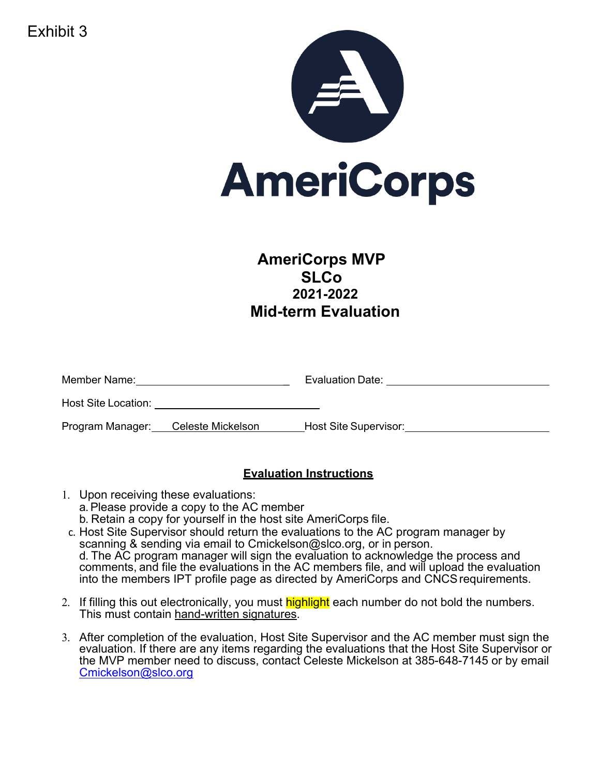Exhibit 3



# **AmeriCorps MVP SLCo 2021-2022 Mid-term Evaluation**

| Member Name:        |                   | Evaluation Date:      |  |
|---------------------|-------------------|-----------------------|--|
| Host Site Location: |                   |                       |  |
| Program Manager:    | Celeste Mickelson | Host Site Supervisor: |  |

# **Evaluation Instructions**

- 1. Upon receiving these evaluations: a.Please provide a copy to the AC member b. Retain a copy for yourself in the host site AmeriCorps file.
- c. Host Site Supervisor should return the evaluations to the AC program manager by scanning & sending via email to Cmickelson@slco.org, or in person. d. The AC program manager will sign the evaluation to acknowledge the process and comments, and file the evaluations in the AC members file, and will upload the evaluation into the members IPT profile page as directed by AmeriCorps and CNCSrequirements.
- 2. If filling this out electronically, you must highlight each number do not bold the numbers. This must contain hand-written signatures.
- 3. After completion of the evaluation, Host Site Supervisor and the AC member must sign the evaluation. If there are any items regarding the evaluations that the Host Site Supervisor or the MVP member need to discuss, contact Celeste Mickelson at 385-648-7145 or by email Cmickelson@slco.org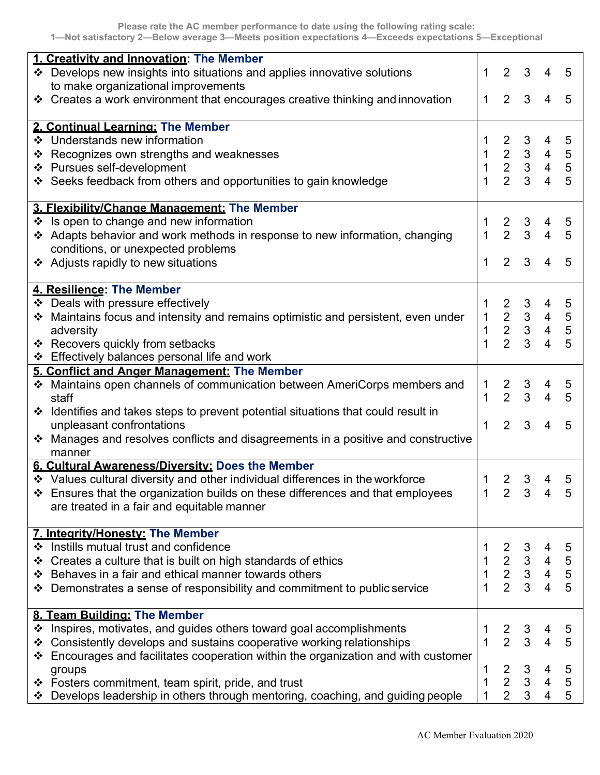|   | 1. Creativity and Innovation: The Member                                                                                          |                   |                                                 |                                                 |                                                                                        |                                            |
|---|-----------------------------------------------------------------------------------------------------------------------------------|-------------------|-------------------------------------------------|-------------------------------------------------|----------------------------------------------------------------------------------------|--------------------------------------------|
|   | ❖ Develops new insights into situations and applies innovative solutions                                                          | 1                 | 2                                               | 3                                               | 4                                                                                      | 5                                          |
|   | to make organizational improvements                                                                                               |                   |                                                 |                                                 |                                                                                        |                                            |
|   | ❖ Creates a work environment that encourages creative thinking and innovation                                                     | 1                 | $2^{\circ}$                                     | $\mathbf{3}$                                    | $\overline{4}$                                                                         | 5                                          |
|   |                                                                                                                                   |                   |                                                 |                                                 |                                                                                        |                                            |
|   | 2. Continual Learning: The Member                                                                                                 |                   |                                                 |                                                 |                                                                                        |                                            |
|   | ❖ Understands new information                                                                                                     |                   | $\overline{2}$                                  | 3                                               | 4                                                                                      | $\overline{5}$                             |
|   | ❖ Recognizes own strengths and weaknesses                                                                                         | $\mathbf 1$       |                                                 |                                                 |                                                                                        |                                            |
|   | ❖ Pursues self-development                                                                                                        | $\mathbf{1}$      |                                                 |                                                 | $\begin{array}{ccccccc}\n2 & 3 & 4 & 5 \\ 2 & 3 & 4 & 5 \\ 2 & 3 & 4 & 5\n\end{array}$ |                                            |
|   | ❖ Seeks feedback from others and opportunities to gain knowledge                                                                  | 1                 |                                                 |                                                 |                                                                                        |                                            |
|   |                                                                                                                                   |                   |                                                 |                                                 |                                                                                        |                                            |
|   | 3. Flexibility/Change Management: The Member                                                                                      |                   |                                                 |                                                 |                                                                                        |                                            |
|   | ❖ Is open to change and new information                                                                                           | 1<br>$\mathbf{1}$ |                                                 | $\begin{array}{ccc} 2 & 3 \\ 2 & 3 \end{array}$ | 4<br>4                                                                                 | $\overline{5}$<br>$5\phantom{1}$           |
|   | ❖ Adapts behavior and work methods in response to new information, changing<br>conditions, or unexpected problems                 |                   |                                                 |                                                 |                                                                                        |                                            |
|   |                                                                                                                                   | 1                 | $\overline{2}$                                  | 3                                               | $\overline{4}$                                                                         | $5\phantom{1}$                             |
|   | ❖ Adjusts rapidly to new situations                                                                                               |                   |                                                 |                                                 |                                                                                        |                                            |
|   | 4. Resilience: The Member                                                                                                         |                   |                                                 |                                                 |                                                                                        |                                            |
|   | ❖ Deals with pressure effectively                                                                                                 | 1                 |                                                 |                                                 |                                                                                        |                                            |
| ❖ | Maintains focus and intensity and remains optimistic and persistent, even under                                                   | $\mathbf{1}$      |                                                 |                                                 | $\begin{array}{cccc} 2&3&4&5\\ 2&3&4&5\\ 2&3&4&5\\ 2&3&4&5 \end{array}$                |                                            |
|   | adversity                                                                                                                         | $\mathbf 1$       |                                                 |                                                 |                                                                                        |                                            |
|   | ❖ Recovers quickly from setbacks                                                                                                  | 1                 |                                                 |                                                 |                                                                                        |                                            |
|   | ❖ Effectively balances personal life and work                                                                                     |                   |                                                 |                                                 |                                                                                        |                                            |
|   | 5. Conflict and Anger Management: The Member                                                                                      |                   |                                                 |                                                 |                                                                                        |                                            |
|   | ❖ Maintains open channels of communication between AmeriCorps members and                                                         | $\mathbf{1}$      | $\begin{array}{ccc} 2 & 3 \\ 2 & 3 \end{array}$ |                                                 | 4                                                                                      | $\overline{5}$                             |
|   | staff                                                                                                                             | 1                 |                                                 |                                                 | $\overline{4}$                                                                         | $5\phantom{.0}$                            |
|   | ❖ Identifies and takes steps to prevent potential situations that could result in                                                 |                   |                                                 |                                                 |                                                                                        |                                            |
|   | unpleasant confrontations                                                                                                         | 1                 | $\overline{2}$                                  | $\mathbf{3}$                                    | $\overline{4}$                                                                         | $5\phantom{1}$                             |
|   | ❖ Manages and resolves conflicts and disagreements in a positive and constructive                                                 |                   |                                                 |                                                 |                                                                                        |                                            |
|   | manner                                                                                                                            |                   |                                                 |                                                 |                                                                                        |                                            |
|   | 6. Cultural Awareness/Diversity: Does the Member<br>❖ Values cultural diversity and other individual differences in the workforce |                   |                                                 |                                                 |                                                                                        |                                            |
|   |                                                                                                                                   | 1                 | 2                                               | 3                                               | 4                                                                                      | 5                                          |
|   | ❖ Ensures that the organization builds on these differences and that employees                                                    | 1                 | 2                                               | -3                                              | 4                                                                                      | 5                                          |
|   | are treated in a fair and equitable manner                                                                                        |                   |                                                 |                                                 |                                                                                        |                                            |
|   | <b>7. Integrity/Honesty: The Member</b>                                                                                           |                   |                                                 |                                                 |                                                                                        |                                            |
|   | ❖ Instills mutual trust and confidence                                                                                            |                   |                                                 |                                                 |                                                                                        | $\overline{5}$                             |
|   | ❖ Creates a culture that is built on high standards of ethics                                                                     | $\mathbf{1}$      |                                                 |                                                 |                                                                                        |                                            |
|   | ❖ Behaves in a fair and ethical manner towards others                                                                             | $\mathbf 1$       |                                                 |                                                 |                                                                                        |                                            |
|   | ❖ Demonstrates a sense of responsibility and commitment to public service                                                         |                   |                                                 |                                                 | $\begin{array}{cccc} 2 & 3 & 4 \\ 2 & 3 & 4 \\ 2 & 3 & 4 \\ 2 & 3 & 4 \end{array}$     | $\begin{array}{c} 5 \\ 5 \\ 5 \end{array}$ |
|   |                                                                                                                                   |                   |                                                 |                                                 |                                                                                        |                                            |
|   | 8. Team Building: The Member                                                                                                      |                   |                                                 |                                                 |                                                                                        |                                            |
|   | ❖ Inspires, motivates, and guides others toward goal accomplishments                                                              |                   | $\frac{2}{2}$                                   | 3                                               | 4                                                                                      | $\overline{5}$                             |
|   | ❖ Consistently develops and sustains cooperative working relationships                                                            | $\mathbf{1}$      |                                                 | $\mathbf{3}$                                    | $\overline{\mathbf{4}}$                                                                | 5                                          |
|   | Encourages and facilitates cooperation within the organization and with customer                                                  |                   |                                                 |                                                 |                                                                                        |                                            |
|   | groups                                                                                                                            | 1                 | $\begin{array}{c} 2 \\ 2 \\ 2 \end{array}$      | $\begin{array}{c} 3 \\ 3 \\ 3 \end{array}$      | $\overline{4}$                                                                         | $\frac{5}{5}$                              |
|   | ❖ Fosters commitment, team spirit, pride, and trust                                                                               | 1                 |                                                 |                                                 | $\overline{\mathbf{4}}$                                                                |                                            |
|   | * Develops leadership in others through mentoring, coaching, and guiding people                                                   |                   |                                                 |                                                 | $\overline{4}$                                                                         | $\overline{5}$                             |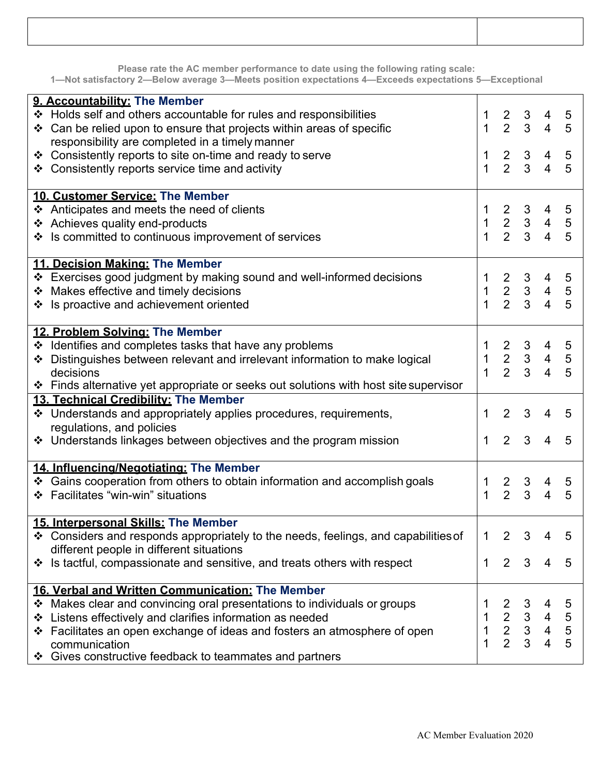**Please rate the AC member performance to date using the following rating scale:**

**1—Not satisfactory 2—Below average 3—Meets position expectations 4—Exceeds expectations 5—Exceptional**

|   | 9. Accountability: The Member                                                        |                |                                                 |                                                 |                                                                                     |                 |
|---|--------------------------------------------------------------------------------------|----------------|-------------------------------------------------|-------------------------------------------------|-------------------------------------------------------------------------------------|-----------------|
|   | ❖ Holds self and others accountable for rules and responsibilities                   |                | $\begin{array}{ccc} 2 & 3 \\ 2 & 3 \end{array}$ |                                                 | 4                                                                                   | $\overline{5}$  |
|   | $\cdot$ Can be relied upon to ensure that projects within areas of specific          | $\mathbf{1}$   |                                                 |                                                 | $\overline{4}$                                                                      | 5               |
|   | responsibility are completed in a timely manner                                      |                |                                                 |                                                 |                                                                                     |                 |
|   | ❖ Consistently reports to site on-time and ready to serve                            | $\mathbf{1}$   |                                                 | $\begin{array}{ccc} 2 & 3 \\ 2 & 3 \end{array}$ | $\frac{4}{4}$                                                                       | $5\overline{)}$ |
|   | ❖ Consistently reports service time and activity                                     | $\mathbf{1}$   |                                                 |                                                 |                                                                                     | 5               |
|   | 10. Customer Service: The Member                                                     |                |                                                 |                                                 |                                                                                     |                 |
|   | ❖ Anticipates and meets the need of clients                                          |                |                                                 |                                                 |                                                                                     |                 |
|   | ❖ Achieves quality end-products                                                      | $\mathbf{1}$   |                                                 |                                                 | $\begin{array}{cccccc} 2 & 3 & 4 & 5 \\ 2 & 3 & 4 & 5 \\ 2 & 3 & 4 & 5 \end{array}$ |                 |
|   | ❖ Is committed to continuous improvement of services                                 | 1              |                                                 |                                                 |                                                                                     |                 |
|   |                                                                                      |                |                                                 |                                                 |                                                                                     |                 |
|   | 11. Decision Making: The Member                                                      |                |                                                 |                                                 |                                                                                     |                 |
|   | ❖ Exercises good judgment by making sound and well-informed decisions                |                |                                                 |                                                 | $\begin{array}{cccc} 2&3&4&5\\ 2&3&4&5\\ 2&3&4&5 \end{array}$                       |                 |
|   | ❖ Makes effective and timely decisions                                               | $\mathbf{1}$   |                                                 |                                                 |                                                                                     |                 |
|   | ❖ Is proactive and achievement oriented                                              | $\overline{1}$ |                                                 |                                                 |                                                                                     |                 |
|   |                                                                                      |                |                                                 |                                                 |                                                                                     |                 |
|   | 12. Problem Solving: The Member                                                      |                |                                                 |                                                 |                                                                                     |                 |
|   | ❖ Identifies and completes tasks that have any problems                              |                |                                                 |                                                 |                                                                                     | $\overline{5}$  |
|   | ❖ Distinguishes between relevant and irrelevant information to make logical          | $\mathbf{1}$   |                                                 |                                                 | $\begin{array}{cccc} 2&3&4&5\\ 2&3&4&5\\ 2&3&4&5 \end{array}$                       |                 |
|   | decisions                                                                            | $\mathbf{1}$   |                                                 |                                                 |                                                                                     |                 |
|   | ❖ Finds alternative yet appropriate or seeks out solutions with host site supervisor |                |                                                 |                                                 |                                                                                     |                 |
|   | 13. Technical Credibility: The Member                                                |                |                                                 |                                                 |                                                                                     |                 |
|   | ❖ Understands and appropriately applies procedures, requirements,                    | 1              | $2^{\circ}$                                     | 3                                               | 4                                                                                   | 5               |
|   | regulations, and policies                                                            |                |                                                 |                                                 |                                                                                     |                 |
|   | ❖ Understands linkages between objectives and the program mission                    | $\mathbf 1$    | $2^{\circ}$                                     | $\mathbf{3}$                                    | $\overline{4}$                                                                      | 5               |
|   | 14. Influencing/Negotiating: The Member                                              |                |                                                 |                                                 |                                                                                     |                 |
|   | ❖ Gains cooperation from others to obtain information and accomplish goals           | 1              |                                                 |                                                 | 4                                                                                   | 5               |
|   | ❖ Facilitates "win-win" situations                                                   | 1              | $\begin{array}{ccc} 2 & 3 \\ 2 & 3 \end{array}$ |                                                 | $\overline{4}$                                                                      | 5               |
|   |                                                                                      |                |                                                 |                                                 |                                                                                     |                 |
|   | 15. Interpersonal Skills: The Member                                                 |                |                                                 |                                                 |                                                                                     |                 |
|   | ❖ Considers and responds appropriately to the needs, feelings, and capabilities of   | 1              | $\overline{2}$                                  | 3                                               |                                                                                     | 5               |
|   | different people in different situations                                             |                |                                                 |                                                 |                                                                                     |                 |
| ❖ | Is tactful, compassionate and sensitive, and treats others with respect              | 1              | 2                                               | 3                                               | 4                                                                                   | 5               |
|   |                                                                                      |                |                                                 |                                                 |                                                                                     |                 |
|   | 16. Verbal and Written Communication: The Member                                     |                |                                                 |                                                 |                                                                                     |                 |
|   | * Makes clear and convincing oral presentations to individuals or groups             |                |                                                 |                                                 |                                                                                     | 5               |
| ❖ | Listens effectively and clarifies information as needed                              | 1              |                                                 |                                                 | $\overline{4}$                                                                      | $\sqrt{5}$      |
|   | ❖ Facilitates an open exchange of ideas and fosters an atmosphere of open            | 1              | $\begin{array}{c} 2 \\ 2 \\ 2 \end{array}$      | $\begin{array}{c} 3 \\ 3 \\ 3 \end{array}$      | $\frac{4}{4}$                                                                       | $\frac{5}{5}$   |
|   | communication                                                                        | 1              |                                                 |                                                 |                                                                                     |                 |
| ❖ | Gives constructive feedback to teammates and partners                                |                |                                                 |                                                 |                                                                                     |                 |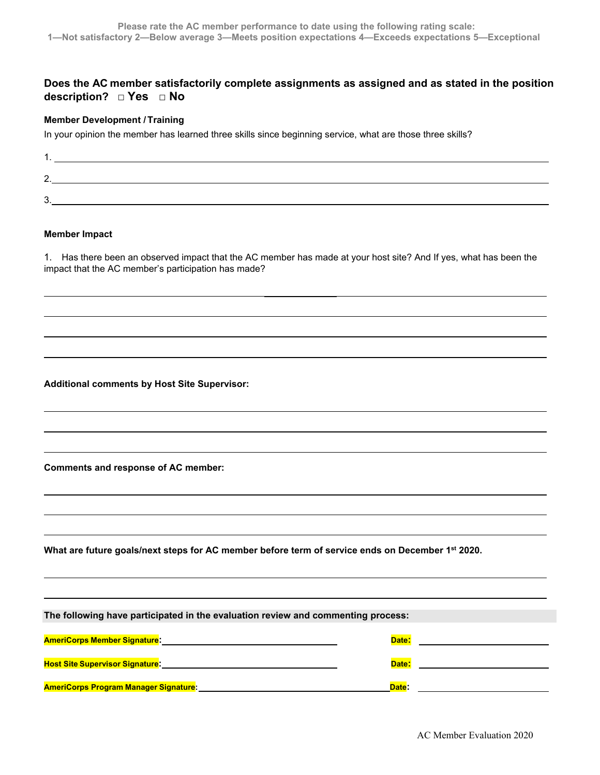## **Does the AC member satisfactorily complete assignments as assigned and as stated in the position description? □ Yes □ No**

### **Member Development / Training**

In your opinion the member has learned three skills since beginning service, what are those three skills?

| <u>.</u> |  |
|----------|--|
| ⌒        |  |

#### **Member Impact**

1. Has there been an observed impact that the AC member has made at your host site? And If yes, what has been the impact that the AC member's participation has made?

**Additional comments by Host Site Supervisor:**

**Comments and response of AC member:**

**What are future goals/next steps for AC member before term of service ends on December 1st 2020.**

| The following have participated in the evaluation review and commenting process: |       |  |  |  |  |
|----------------------------------------------------------------------------------|-------|--|--|--|--|
|                                                                                  |       |  |  |  |  |
| <b>AmeriCorps Member Signature:</b>                                              | Date: |  |  |  |  |
|                                                                                  |       |  |  |  |  |
| <b>Host Site Supervisor Signature:</b>                                           | Date: |  |  |  |  |
|                                                                                  |       |  |  |  |  |
| <b>AmeriCorps Program Manager Signature:</b>                                     | Date: |  |  |  |  |